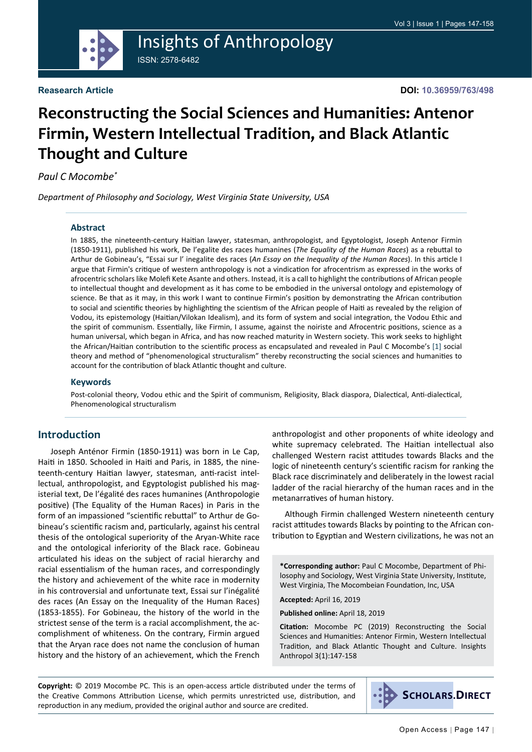

#### **Reasearch Article**

**DOI: 10.36959/763/498**

# **Reconstructing the Social Sciences and Humanities: Antenor Firmin, Western Intellectual Tradition, and Black Atlantic Thought and Culture**

*Paul C Mocombe\**

*Department of Philosophy and Sociology, West Virginia State University, USA*

#### **Abstract**

In 1885, the nineteenth-century Haitian lawyer, statesman, anthropologist, and Egyptologist, Joseph Antenor Firmin (1850-1911), published his work, De l'egalite des races humanines (*The Equality of the Human Races*) as a rebuttal to Arthur de Gobineau's, "Essai sur l' inegalite des races (*An Essay on the Inequality of the Human Races*). In this article I argue that Firmin's critique of western anthropology is not a vindication for afrocentrism as expressed in the works of afrocentric scholars like Molefi Kete Asante and others. Instead, it is a call to highlight the contributions of African people to intellectual thought and development as it has come to be embodied in the universal ontology and epistemology of science. Be that as it may, in this work I want to continue Firmin's position by demonstrating the African contribution to social and scientific theories by highlighting the scientism of the African people of Haiti as revealed by the religion of Vodou, its epistemology (Haitian/Vilokan Idealism), and its form of system and social integration, the Vodou Ethic and the spirit of communism. Essentially, like Firmin, I assume, against the noiriste and Afrocentric positions, science as a human universal, which began in Africa, and has now reached maturity in Western society. This work seeks to highlight the African/Haitian contribution to the scientific process as encapsulated and revealed in Paul C Mocombe's [[1](#page-10-0)] social theory and method of "phenomenological structuralism" thereby reconstructing the social sciences and humanities to account for the contribution of black Atlantic thought and culture.

#### **Keywords**

Post-colonial theory, Vodou ethic and the Spirit of communism, Religiosity, Black diaspora, Dialectical, Anti-dialectical, Phenomenological structuralism

#### **Introduction**

Joseph Anténor Firmin (1850-1911) was born in Le Cap, Haiti in 1850. Schooled in Haiti and Paris, in 1885, the nineteenth-century Haitian lawyer, statesman, anti-racist intellectual, anthropologist, and Egyptologist published his magisterial text, De l'égalité des races humanines (Anthropologie positive) (The Equality of the Human Races) in Paris in the form of an impassioned "scientific rebuttal" to Arthur de Gobineau's scientific racism and, particularly, against his central thesis of the ontological superiority of the Aryan-White race and the ontological inferiority of the Black race. Gobineau articulated his ideas on the subject of racial hierarchy and racial essentialism of the human races, and correspondingly the history and achievement of the white race in modernity in his controversial and unfortunate text, Essai sur l'inégalité des races (An Essay on the Inequality of the Human Races) (1853-1855). For Gobineau, the history of the world in the strictest sense of the term is a racial accomplishment, the accomplishment of whiteness. On the contrary, Firmin argued that the Aryan race does not name the conclusion of human history and the history of an achievement, which the French

anthropologist and other proponents of white ideology and white supremacy celebrated. The Haitian intellectual also challenged Western racist attitudes towards Blacks and the logic of nineteenth century's scientific racism for ranking the Black race discriminately and deliberately in the lowest racial ladder of the racial hierarchy of the human races and in the metanarratives of human history.

Although Firmin challenged Western nineteenth century racist attitudes towards Blacks by pointing to the African contribution to Egyptian and Western civilizations, he was not an

**\*Corresponding author:** Paul C Mocombe, Department of Philosophy and Sociology, West Virginia State University, Institute, West Virginia, The Mocombeian Foundation, Inc, USA

**Accepted:** April 16, 2019

**Published online:** April 18, 2019

**Citation:** Mocombe PC (2019) Reconstructing the Social Sciences and Humanities: Antenor Firmin, Western Intellectual Tradition, and Black Atlantic Thought and Culture. Insights Anthropol 3(1):147-158

**Copyright:** © 2019 Mocombe PC. This is an open-access article distributed under the terms of the Creative Commons Attribution License, which permits unrestricted use, distribution, and reproduction in any medium, provided the original author and source are credited.

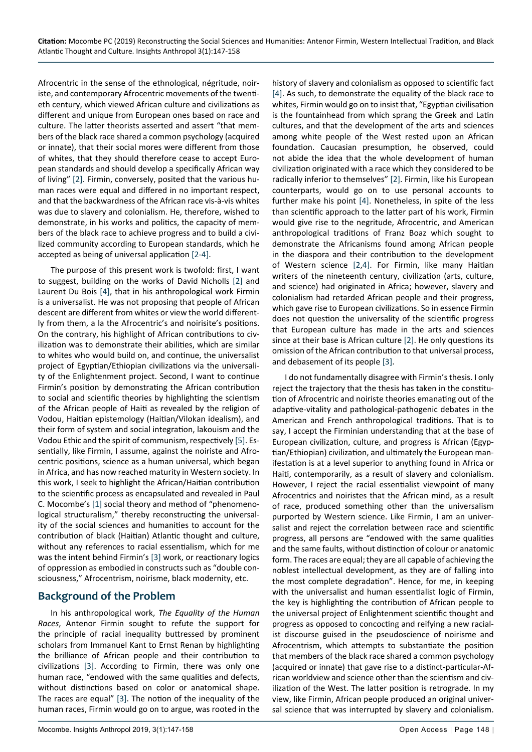Afrocentric in the sense of the ethnological, négritude, noiriste, and contemporary Afrocentric movements of the twentieth century, which viewed African culture and civilizations as different and unique from European ones based on race and culture. The latter theorists asserted and assert "that members of the black race shared a common psychology (acquired or innate), that their social mores were different from those of whites, that they should therefore cease to accept European standards and should develop a specifically African way of living" [\[2](#page-10-2)]. Firmin, conversely, posited that the various human races were equal and differed in no important respect, and that the backwardness of the African race vis-à-vis whites was due to slavery and colonialism. He, therefore, wished to demonstrate, in his works and politics, the capacity of members of the black race to achieve progress and to build a civilized community according to European standards, which he accepted as being of universal application [[2-](#page-10-2)[4\]](#page-10-1).

The purpose of this present work is twofold: first, I want to suggest, building on the works of David Nicholls [[2\]](#page-10-2) and Laurent Du Bois [[4\]](#page-10-1), that in his anthropological work Firmin is a universalist. He was not proposing that people of African descent are different from whites or view the world differently from them, a la the Afrocentric's and noirisite's positions. On the contrary, his highlight of African contributions to civilization was to demonstrate their abilities, which are similar to whites who would build on, and continue, the universalist project of Egyptian/Ethiopian civilizations via the universality of the Enlightenment project. Second, I want to continue Firmin's position by demonstrating the African contribution to social and scientific theories by highlighting the scientism of the African people of Haiti as revealed by the religion of Vodou, Haitian epistemology (Haitian/Vilokan idealism), and their form of system and social integration, lakouism and the Vodou Ethic and the spirit of communism, respectively [\[5](#page-10-4)]. Essentially, like Firmin, I assume, against the noiriste and Afrocentric positions, science as a human universal, which began in Africa, and has now reached maturity in Western society. In this work, I seek to highlight the African/Haitian contribution to the scientific process as encapsulated and revealed in Paul C. Mocombe's [\[1](#page-10-0)] social theory and method of "phenomenological structuralism," thereby reconstructing the universality of the social sciences and humanities to account for the contribution of black (Haitian) Atlantic thought and culture, without any references to racial essentialism, which for me was the intent behind Firmin's [\[3](#page-10-3)] work, or reactionary logics of oppression as embodied in constructs such as "double consciousness," Afrocentrism, noirisme, black modernity, etc.

### **Background of the Problem**

In his anthropological work, *The Equality of the Human Races*, Antenor Firmin sought to refute the support for the principle of racial inequality buttressed by prominent scholars from Immanuel Kant to Ernst Renan by highlighting the brilliance of African people and their contribution to civilizations [\[3](#page-10-3)]. According to Firmin, there was only one human race, "endowed with the same qualities and defects, without distinctions based on color or anatomical shape. The races are equal" [[3\]](#page-10-3). The notion of the inequality of the human races, Firmin would go on to argue, was rooted in the

history of slavery and colonialism as opposed to scientific fact [[4\]](#page-10-1). As such, to demonstrate the equality of the black race to whites, Firmin would go on to insist that, "Egyptian civilisation is the fountainhead from which sprang the Greek and Latin cultures, and that the development of the arts and sciences among white people of the West rested upon an African foundation. Caucasian presumption, he observed, could not abide the idea that the whole development of human civilization originated with a race which they considered to be radically inferior to themselves" [[2\]](#page-10-2). Firmin, like his European counterparts, would go on to use personal accounts to further make his point [[4](#page-10-1)]. Nonetheless, in spite of the less than scientific approach to the latter part of his work, Firmin would give rise to the negritude, Afrocentric, and American anthropological traditions of Franz Boaz which sought to demonstrate the Africanisms found among African people in the diaspora and their contribution to the development of Western science [\[2](#page-10-2),[4\]](#page-10-1). For Firmin, like many Haitian writers of the nineteenth century, civilization (arts, culture, and science) had originated in Africa; however, slavery and colonialism had retarded African people and their progress, which gave rise to European civilizations. So in essence Firmin does not question the universality of the scientific progress that European culture has made in the arts and sciences since at their base is African culture [\[2](#page-10-2)]. He only questions its omission of the African contribution to that universal process, and debasement of its people [\[3](#page-10-3)].

I do not fundamentally disagree with Firmin's thesis. I only reject the trajectory that the thesis has taken in the constitution of Afrocentric and noiriste theories emanating out of the adaptive-vitality and pathological-pathogenic debates in the American and French anthropological traditions. That is to say, I accept the Firminian understanding that at the base of European civilization, culture, and progress is African (Egyptian/Ethiopian) civilization, and ultimately the European manifestation is at a level superior to anything found in Africa or Haiti, contemporarily, as a result of slavery and colonialism. However, I reject the racial essentialist viewpoint of many Afrocentrics and noiristes that the African mind, as a result of race, produced something other than the universalism purported by Western science. Like Firmin, I am an universalist and reject the correlation between race and scientific progress, all persons are "endowed with the same qualities and the same faults, without distinction of colour or anatomic form. The races are equal; they are all capable of achieving the noblest intellectual development, as they are of falling into the most complete degradation". Hence, for me, in keeping with the universalist and human essentialist logic of Firmin, the key is highlighting the contribution of African people to the universal project of Enlightenment scientific thought and progress as opposed to concocting and reifying a new racialist discourse guised in the pseudoscience of noirisme and Afrocentrism, which attempts to substantiate the position that members of the black race shared a common psychology (acquired or innate) that gave rise to a distinct-particular-African worldview and science other than the scientism and civilization of the West. The latter position is retrograde. In my view, like Firmin, African people produced an original universal science that was interrupted by slavery and colonialism.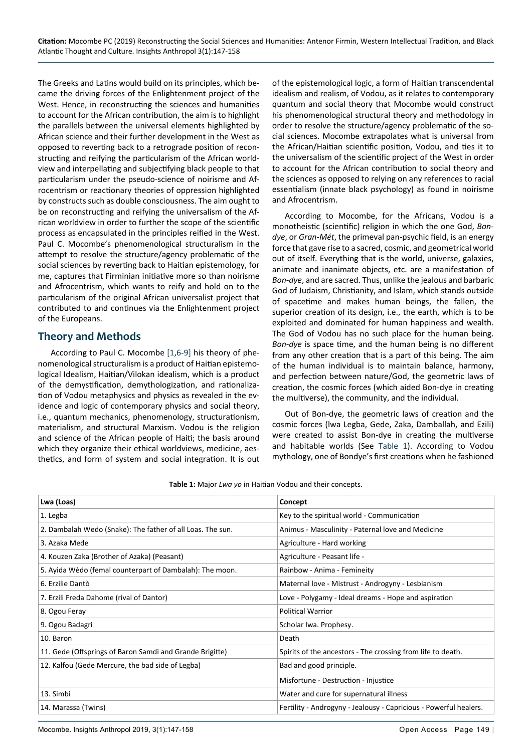The Greeks and Latins would build on its principles, which became the driving forces of the Enlightenment project of the West. Hence, in reconstructing the sciences and humanities to account for the African contribution, the aim is to highlight the parallels between the universal elements highlighted by African science and their further development in the West as opposed to reverting back to a retrograde position of reconstructing and reifying the particularism of the African worldview and interpellating and subjectifying black people to that particularism under the pseudo-science of noirisme and Afrocentrism or reactionary theories of oppression highlighted by constructs such as double consciousness. The aim ought to be on reconstructing and reifying the universalism of the African worldview in order to further the scope of the scientific process as encapsulated in the principles reified in the West. Paul C. Mocombe's phenomenological structuralism in the attempt to resolve the structure/agency problematic of the social sciences by reverting back to Haitian epistemology, for me, captures that Firminian initiative more so than noirisme and Afrocentrism, which wants to reify and hold on to the particularism of the original African universalist project that contributed to and continues via the Enlightenment project of the Europeans.

#### **Theory and Methods**

According to Paul C. Mocombe [\[1](#page-10-0),[6-](#page-11-0)[9\]](#page-11-1) his theory of phenomenological structuralism is a product of Haitian epistemological Idealism, Haitian/Vilokan idealism, which is a product of the demystification, demythologization, and rationalization of Vodou metaphysics and physics as revealed in the evidence and logic of contemporary physics and social theory, i.e., quantum mechanics, phenomenology, structurationism, materialism, and structural Marxism. Vodou is the religion and science of the African people of Haiti; the basis around which they organize their ethical worldviews, medicine, aesthetics, and form of system and social integration. It is out

of the epistemological logic, a form of Haitian transcendental idealism and realism, of Vodou, as it relates to contemporary quantum and social theory that Mocombe would construct his phenomenological structural theory and methodology in order to resolve the structure/agency problematic of the social sciences. Mocombe extrapolates what is universal from the African/Haitian scientific position, Vodou, and ties it to the universalism of the scientific project of the West in order to account for the African contribution to social theory and the sciences as opposed to relying on any references to racial essentialism (innate black psychology) as found in noirisme and Afrocentrism.

According to Mocombe, for the Africans, Vodou is a monotheistic (scientific) religion in which the one God, *Bondye*, or *Gran-Mét*, the primeval pan-psychic field, is an energy force that gave rise to a sacred, cosmic, and geometrical world out of itself. Everything that is the world, universe, galaxies, animate and inanimate objects, etc. are a manifestation of *Bon-dye*, and are sacred. Thus, unlike the jealous and barbaric God of Judaism, Christianity, and Islam, which stands outside of spacetime and makes human beings, the fallen, the superior creation of its design, i.e., the earth, which is to be exploited and dominated for human happiness and wealth. The God of Vodou has no such place for the human being. *Bon-dye* is space time, and the human being is no different from any other creation that is a part of this being. The aim of the human individual is to maintain balance, harmony, and perfection between nature/God, the geometric laws of creation, the cosmic forces (which aided Bon-dye in creating the multiverse), the community, and the individual.

Out of Bon-dye, the geometric laws of creation and the cosmic forces (lwa Legba, Gede, Zaka, Damballah, and Ezili) were created to assist Bon-dye in creating the multiverse and habitable worlds (See [Table 1](#page-2-0)). According to Vodou mythology, one of Bondye's first creations when he fashioned

| Lwa (Loas)                                                 | Concept                                                           |
|------------------------------------------------------------|-------------------------------------------------------------------|
| 1. Legba                                                   | Key to the spiritual world - Communication                        |
| 2. Dambalah Wedo (Snake): The father of all Loas. The sun. | Animus - Masculinity - Paternal love and Medicine                 |
| 3. Azaka Mede                                              | Agriculture - Hard working                                        |
| 4. Kouzen Zaka (Brother of Azaka) (Peasant)                | Agriculture - Peasant life -                                      |
| 5. Ayida Wèdo (femal counterpart of Dambalah): The moon.   | Rainbow - Anima - Femineity                                       |
| 6. Erzilie Dantò                                           | Maternal love - Mistrust - Androgyny - Lesbianism                 |
| 7. Erzili Freda Dahome (rival of Dantor)                   | Love - Polygamy - Ideal dreams - Hope and aspiration              |
| 8. Ogou Feray                                              | <b>Political Warrior</b>                                          |
| 9. Ogou Badagri                                            | Scholar Iwa. Prophesy.                                            |
| 10. Baron                                                  | Death                                                             |
| 11. Gede (Offsprings of Baron Samdi and Grande Brigitte)   | Spirits of the ancestors - The crossing from life to death.       |
| 12. Kalfou (Gede Mercure, the bad side of Legba)           | Bad and good principle.                                           |
|                                                            | Misfortune - Destruction - Injustice                              |
| 13. Simbi                                                  | Water and cure for supernatural illness                           |
| 14. Marassa (Twins)                                        | Fertility - Androgyny - Jealousy - Capricious - Powerful healers. |

<span id="page-2-0"></span>**Table 1:** Major *Lwa yo* in Haitian Vodou and their concepts.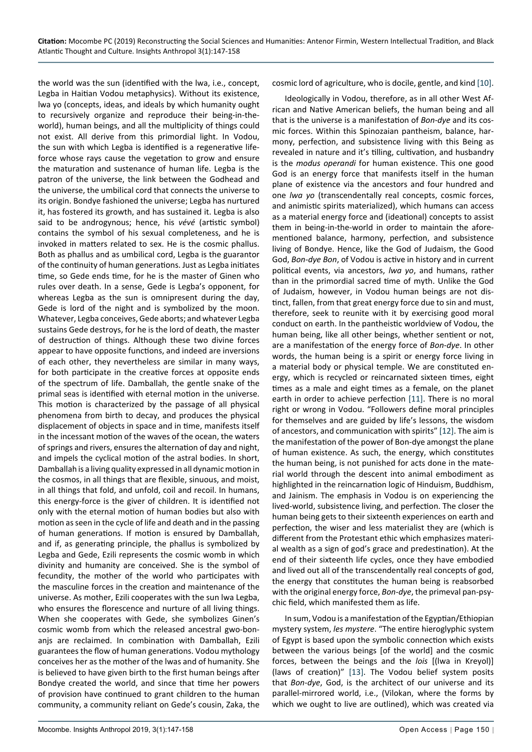the world was the sun (identified with the lwa, i.e., concept, Legba in Haitian Vodou metaphysics). Without its existence, lwa yo (concepts, ideas, and ideals by which humanity ought to recursively organize and reproduce their being-in-theworld), human beings, and all the multiplicity of things could not exist. All derive from this primordial light. In Vodou, the sun with which Legba is identified is a regenerative lifeforce whose rays cause the vegetation to grow and ensure the maturation and sustenance of human life. Legba is the patron of the universe, the link between the Godhead and the universe, the umbilical cord that connects the universe to its origin. Bondye fashioned the universe; Legba has nurtured it, has fostered its growth, and has sustained it. Legba is also said to be androgynous; hence, his *vévé* (artistic symbol) contains the symbol of his sexual completeness, and he is invoked in matters related to sex. He is the cosmic phallus. Both as phallus and as umbilical cord, Legba is the guarantor of the continuity of human generations. Just as Legba initiates time, so Gede ends time, for he is the master of Ginen who rules over death. In a sense, Gede is Legba's opponent, for whereas Legba as the sun is omnipresent during the day, Gede is lord of the night and is symbolized by the moon. Whatever, Legba conceives, Gede aborts; and whatever Legba sustains Gede destroys, for he is the lord of death, the master of destruction of things. Although these two divine forces appear to have opposite functions, and indeed are inversions of each other, they nevertheless are similar in many ways, for both participate in the creative forces at opposite ends of the spectrum of life. Damballah, the gentle snake of the primal seas is identified with eternal motion in the universe. This motion is characterized by the passage of all physical phenomena from birth to decay, and produces the physical displacement of objects in space and in time, manifests itself in the incessant motion of the waves of the ocean, the waters of springs and rivers, ensures the alternation of day and night, and impels the cyclical motion of the astral bodies. In short, Damballah is a living quality expressed in all dynamic motion in the cosmos, in all things that are flexible, sinuous, and moist, in all things that fold, and unfold, coil and recoil. In humans, this energy-force is the giver of children. It is identified not only with the eternal motion of human bodies but also with motion as seen in the cycle of life and death and in the passing of human generations. If motion is ensured by Damballah, and if, as generating principle, the phallus is symbolized by Legba and Gede, Ezili represents the cosmic womb in which divinity and humanity are conceived. She is the symbol of fecundity, the mother of the world who participates with the masculine forces in the creation and maintenance of the universe. As mother, Ezili cooperates with the sun lwa Legba, who ensures the florescence and nurture of all living things. When she cooperates with Gede, she symbolizes Ginen's cosmic womb from which the released ancestral gwo-bonanjs are reclaimed. In combination with Damballah, Ezili guarantees the flow of human generations. Vodou mythology conceives her as the mother of the lwas and of humanity. She is believed to have given birth to the first human beings after Bondye created the world, and since that time her powers of provision have continued to grant children to the human community, a community reliant on Gede's cousin, Zaka, the cosmic lord of agriculture, who is docile, gentle, and kind [\[10](#page-11-2)].

Ideologically in Vodou, therefore, as in all other West African and Native American beliefs, the human being and all that is the universe is a manifestation of *Bon-dye* and its cosmic forces. Within this Spinozaian pantheism, balance, harmony, perfection, and subsistence living with this Being as revealed in nature and it's tilling, cultivation, and husbandry is the *modus operandi* for human existence. This one good God is an energy force that manifests itself in the human plane of existence via the ancestors and four hundred and one *lwa yo* (transcendentally real concepts, cosmic forces, and animistic spirits materialized), which humans can access as a material energy force and (ideational) concepts to assist them in being-in-the-world in order to maintain the aforementioned balance, harmony, perfection, and subsistence living of Bondye. Hence, like the God of Judaism, the Good God, *Bon-dye Bon*, of Vodou is active in history and in current political events, via ancestors, *lwa yo*, and humans, rather than in the primordial sacred time of myth. Unlike the God of Judaism, however, in Vodou human beings are not distinct, fallen, from that great energy force due to sin and must, therefore, seek to reunite with it by exercising good moral conduct on earth. In the pantheistic worldview of Vodou, the human being, like all other beings, whether sentient or not, are a manifestation of the energy force of *Bon-dye*. In other words, the human being is a spirit or energy force living in a material body or physical temple. We are constituted energy, which is recycled or reincarnated sixteen times, eight times as a male and eight times as a female, on the planet earth in order to achieve perfection [\[11](#page-11-3)]. There is no moral right or wrong in Vodou. "Followers define moral principles for themselves and are guided by life's lessons, the wisdom of ancestors, and communication with spirits" [[12\]](#page-11-4). The aim is the manifestation of the power of Bon-dye amongst the plane of human existence. As such, the energy, which constitutes the human being, is not punished for acts done in the material world through the descent into animal embodiment as highlighted in the reincarnation logic of Hinduism, Buddhism, and Jainism. The emphasis in Vodou is on experiencing the lived-world, subsistence living, and perfection. The closer the human being gets to their sixteenth experiences on earth and perfection, the wiser and less materialist they are (which is different from the Protestant ethic which emphasizes material wealth as a sign of god's grace and predestination). At the end of their sixteenth life cycles, once they have embodied and lived out all of the transcendentally real concepts of god, the energy that constitutes the human being is reabsorbed with the original energy force, *Bon-dye*, the primeval pan-psychic field, which manifested them as life.

In sum, Vodou is a manifestation of the Egyptian/Ethiopian mystery system, *les mystere*. "The entire hieroglyphic system of Egypt is based upon the symbolic connection which exists between the various beings [of the world] and the cosmic forces, between the beings and the *lois* [(lwa in Kreyol)] (laws of creation)" [[13\]](#page-11-5). The Vodou belief system posits that *Bon-dye*, God, is the architect of our universe and its parallel-mirrored world, i.e., (Vilokan, where the forms by which we ought to live are outlined), which was created via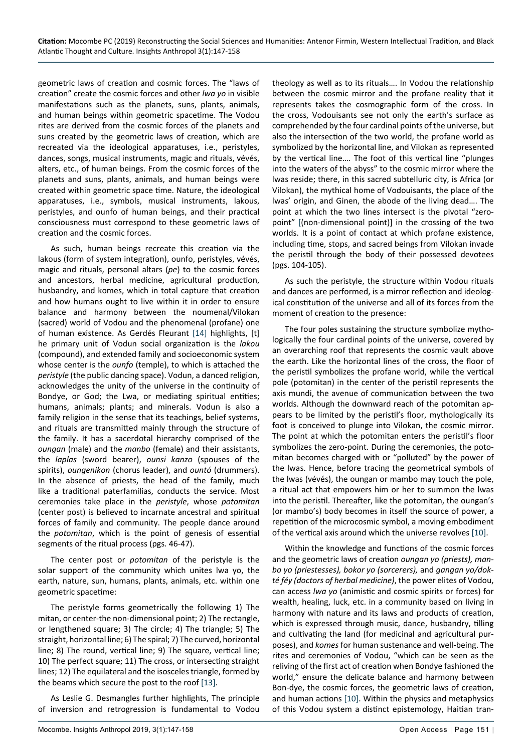geometric laws of creation and cosmic forces. The "laws of creation" create the cosmic forces and other *lwa yo* in visible manifestations such as the planets, suns, plants, animals, and human beings within geometric spacetime. The Vodou rites are derived from the cosmic forces of the planets and suns created by the geometric laws of creation, which are recreated via the ideological apparatuses, i.e., peristyles, dances, songs, musical instruments, magic and rituals, vévés, alters, etc., of human beings. From the cosmic forces of the planets and suns, plants, animals, and human beings were created within geometric space time. Nature, the ideological apparatuses, i.e., symbols, musical instruments, lakous, peristyles, and ounfo of human beings, and their practical consciousness must correspond to these geometric laws of creation and the cosmic forces.

As such, human beings recreate this creation via the lakous (form of system integration), ounfo, peristyles, vévés, magic and rituals, personal altars (*pe*) to the cosmic forces and ancestors, herbal medicine, agricultural production, husbandry, and komes, which in total capture that creation and how humans ought to live within it in order to ensure balance and harmony between the noumenal/Vilokan (sacred) world of Vodou and the phenomenal (profane) one of human existence. As Gerdés Fleurant [[14\]](#page-11-6) highlights, [t] he primary unit of Vodun social organization is the *lakou* (compound), and extended family and socioeconomic system whose center is the *ounfo* (temple), to which is attached the *peristyle* (the public dancing space). Vodun, a danced religion, acknowledges the unity of the universe in the continuity of Bondye, or God; the Lwa, or mediating spiritual entities; humans, animals; plants; and minerals. Vodun is also a family religion in the sense that its teachings, belief systems, and rituals are transmitted mainly through the structure of the family. It has a sacerdotal hierarchy comprised of the *oungan* (male) and the *manbo* (female) and their assistants, the *laplas* (sword bearer), *ounsi kanzo* (spouses of the spirits), *oungenikon* (chorus leader), and *ountó* (drummers). In the absence of priests, the head of the family, much like a traditional paterfamilias, conducts the service. Most ceremonies take place in the *peristyle*, whose *potomitan* (center post) is believed to incarnate ancestral and spiritual forces of family and community. The people dance around the *potomitan*, which is the point of genesis of essential segments of the ritual process (pgs. 46-47).

The center post or *potomitan* of the peristyle is the solar support of the community which unites lwa yo, the earth, nature, sun, humans, plants, animals, etc. within one geometric spacetime:

The peristyle forms geometrically the following 1) The mitan, or center-the non-dimensional point; 2) The rectangle, or lengthened square; 3) The circle; 4) The triangle; 5) The straight, horizontal line; 6) The spiral; 7) The curved, horizontal line; 8) The round, vertical line; 9) The square, vertical line; 10) The perfect square; 11) The cross, or intersecting straight lines; 12) The equilateral and the isosceles triangle, formed by the beams which secure the post to the roof [\[13](#page-11-5)].

As Leslie G. Desmangles further highlights, The principle of inversion and retrogression is fundamental to Vodou theology as well as to its rituals…. In Vodou the relationship between the cosmic mirror and the profane reality that it represents takes the cosmographic form of the cross. In the cross, Vodouisants see not only the earth's surface as comprehended by the four cardinal points of the universe, but also the intersection of the two world, the profane world as symbolized by the horizontal line, and Vilokan as represented by the vertical line…. The foot of this vertical line "plunges into the waters of the abyss" to the cosmic mirror where the lwas reside; there, in this sacred subtelluric city, is Africa (or Vilokan), the mythical home of Vodouisants, the place of the lwas' origin, and Ginen, the abode of the living dead…. The point at which the two lines intersect is the pivotal "zeropoint" [(non-dimensional point)] in the crossing of the two worlds. It is a point of contact at which profane existence, including time, stops, and sacred beings from Vilokan invade the peristil through the body of their possessed devotees (pgs. 104-105).

As such the peristyle, the structure within Vodou rituals and dances are performed, is a mirror reflection and ideological constitution of the universe and all of its forces from the moment of creation to the presence:

The four poles sustaining the structure symbolize mythologically the four cardinal points of the universe, covered by an overarching roof that represents the cosmic vault above the earth. Like the horizontal lines of the cross, the floor of the peristil symbolizes the profane world, while the vertical pole (potomitan) in the center of the peristil represents the axis mundi, the avenue of communication between the two worlds. Although the downward reach of the potomitan appears to be limited by the peristil's floor, mythologically its foot is conceived to plunge into Vilokan, the cosmic mirror. The point at which the potomitan enters the peristil's floor symbolizes the zero-point. During the ceremonies, the potomitan becomes charged with or "polluted" by the power of the lwas. Hence, before tracing the geometrical symbols of the lwas (vévés), the oungan or mambo may touch the pole, a ritual act that empowers him or her to summon the lwas into the peristil. Thereafter, like the potomitan, the oungan's (or mambo's) body becomes in itself the source of power, a repetition of the microcosmic symbol, a moving embodiment of the vertical axis around which the universe revolves [[10](#page-11-2)].

Within the knowledge and functions of the cosmic forces and the geometric laws of creation *oungan yo (priests), manbo yo (priestesses), bokor yo (sorcerers),* and *gangan yo/dokté féy (doctors of herbal medicine)*, the power elites of Vodou, can access *lwa yo* (animistic and cosmic spirits or forces) for wealth, healing, luck, etc. in a community based on living in harmony with nature and its laws and products of creation, which is expressed through music, dance, husbandry, tilling and cultivating the land (for medicinal and agricultural purposes), and *komes* for human sustenance and well-being. The rites and ceremonies of Vodou, "which can be seen as the reliving of the first act of creation when Bondye fashioned the world," ensure the delicate balance and harmony between Bon-dye, the cosmic forces, the geometric laws of creation, and human actions [\[10](#page-11-2)]. Within the physics and metaphysics of this Vodou system a distinct epistemology, Haitian tran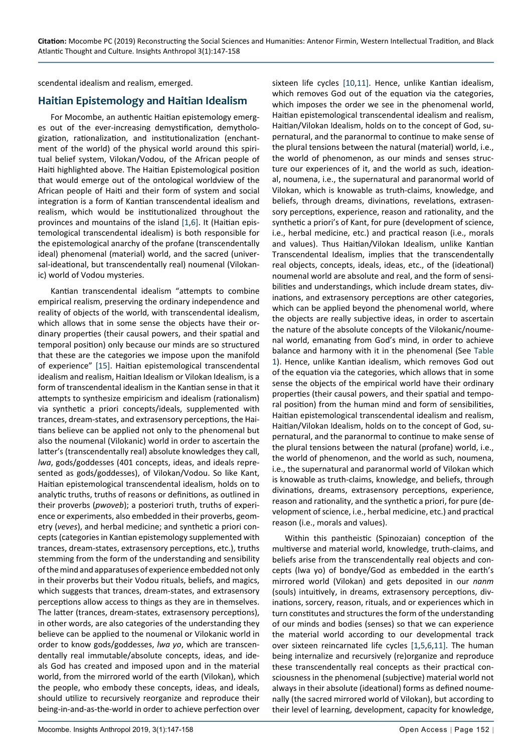scendental idealism and realism, emerged.

## **Haitian Epistemology and Haitian Idealism**

For Mocombe, an authentic Haitian epistemology emerges out of the ever-increasing demystification, demythologization, rationalization, and institutionalization (enchantment of the world) of the physical world around this spiritual belief system, Vilokan/Vodou, of the African people of Haiti highlighted above. The Haitian Epistemological position that would emerge out of the ontological worldview of the African people of Haiti and their form of system and social integration is a form of Kantian transcendental idealism and realism, which would be institutionalized throughout the provinces and mountains of the island [\[1](#page-10-0),[6](#page-11-0)]. It (Haitian epistemological transcendental idealism) is both responsible for the epistemological anarchy of the profane (transcendentally ideal) phenomenal (material) world, and the sacred (universal-ideational, but transcendentally real) noumenal (Vilokanic) world of Vodou mysteries.

Kantian transcendental idealism "attempts to combine empirical realism, preserving the ordinary independence and reality of objects of the world, with transcendental idealism, which allows that in some sense the objects have their ordinary properties (their causal powers, and their spatial and temporal position) only because our minds are so structured that these are the categories we impose upon the manifold of experience" [\[15](#page-11-7)]. Haitian epistemological transcendental idealism and realism, Haitian Idealism or Vilokan Idealism, is a form of transcendental idealism in the Kantian sense in that it attempts to synthesize empiricism and idealism (rationalism) via synthetic a priori concepts/ideals, supplemented with trances, dream-states, and extrasensory perceptions, the Haitians believe can be applied not only to the phenomenal but also the noumenal (Vilokanic) world in order to ascertain the latter's (transcendentally real) absolute knowledges they call, *lwa*, gods/goddesses (401 concepts, ideas, and ideals represented as gods/goddesses), of Vilokan/Vodou. So like Kant, Haitian epistemological transcendental idealism, holds on to analytic truths, truths of reasons or definitions, as outlined in their proverbs (*pwoveb*); a posteriori truth, truths of experience or experiments, also embedded in their proverbs, geometry (*veves*), and herbal medicine; and synthetic a priori concepts (categories in Kantian epistemology supplemented with trances, dream-states, extrasensory perceptions, etc.), truths stemming from the form of the understanding and sensibility of the mind and apparatuses of experience embedded not only in their proverbs but their Vodou rituals, beliefs, and magics, which suggests that trances, dream-states, and extrasensory perceptions allow access to things as they are in themselves. The latter (trances, dream-states, extrasensory perceptions), in other words, are also categories of the understanding they believe can be applied to the noumenal or Vilokanic world in order to know gods/goddesses, *lwa yo*, which are transcendentally real immutable/absolute concepts, ideas, and ideals God has created and imposed upon and in the material world, from the mirrored world of the earth (Vilokan), which the people, who embody these concepts, ideas, and ideals, should utilize to recursively reorganize and reproduce their being-in-and-as-the-world in order to achieve perfection over sixteen life cycles [[10](#page-11-2),[11\]](#page-11-3). Hence, unlike Kantian idealism, which removes God out of the equation via the categories, which imposes the order we see in the phenomenal world, Haitian epistemological transcendental idealism and realism, Haitian/Vilokan Idealism, holds on to the concept of God, supernatural, and the paranormal to continue to make sense of the plural tensions between the natural (material) world, i.e., the world of phenomenon, as our minds and senses structure our experiences of it, and the world as such, ideational, noumena, i.e., the supernatural and paranormal world of Vilokan, which is knowable as truth-claims, knowledge, and beliefs, through dreams, divinations, revelations, extrasensory perceptions, experience, reason and rationality, and the synthetic a priori's of Kant, for pure (development of science, i.e., herbal medicine, etc.) and practical reason (i.e., morals and values). Thus Haitian/Vilokan Idealism, unlike Kantian Transcendental Idealism, implies that the transcendentally real objects, concepts, ideals, ideas, etc., of the (ideational) noumenal world are absolute and real, and the form of sensibilities and understandings, which include dream states, divinations, and extrasensory perceptions are other categories, which can be applied beyond the phenomenal world, where the objects are really subjective ideas, in order to ascertain the nature of the absolute concepts of the Vilokanic/noumenal world, emanating from God's mind, in order to achieve balance and harmony with it in the phenomenal (See [Table](#page-2-0)  [1](#page-2-0)). Hence, unlike Kantian idealism, which removes God out of the equation via the categories, which allows that in some sense the objects of the empirical world have their ordinary properties (their causal powers, and their spatial and temporal position) from the human mind and form of sensibilities, Haitian epistemological transcendental idealism and realism, Haitian/Vilokan Idealism, holds on to the concept of God, supernatural, and the paranormal to continue to make sense of the plural tensions between the natural (profane) world, i.e., the world of phenomenon, and the world as such, noumena, i.e., the supernatural and paranormal world of Vilokan which is knowable as truth-claims, knowledge, and beliefs, through divinations, dreams, extrasensory perceptions, experience, reason and rationality, and the synthetic a priori, for pure (development of science, i.e., herbal medicine, etc.) and practical reason (i.e., morals and values).

Within this pantheistic (Spinozaian) conception of the multiverse and material world, knowledge, truth-claims, and beliefs arise from the transcendentally real objects and concepts (lwa yo) of bondye/God as embedded in the earth's mirrored world (Vilokan) and gets deposited in our *nanm* (souls) intuitively, in dreams, extrasensory perceptions, divinations, sorcery, reason, rituals, and or experiences which in turn constitutes and structures the form of the understanding of our minds and bodies (senses) so that we can experience the material world according to our developmental track over sixteen reincarnated life cycles [\[1](#page-10-0),[5,](#page-10-4)[6](#page-11-0),[11\]](#page-11-3). The human being internalize and recursively (re)organize and reproduce these transcendentally real concepts as their practical consciousness in the phenomenal (subjective) material world not always in their absolute (ideational) forms as defined noumenally (the sacred mirrored world of Vilokan), but according to their level of learning, development, capacity for knowledge,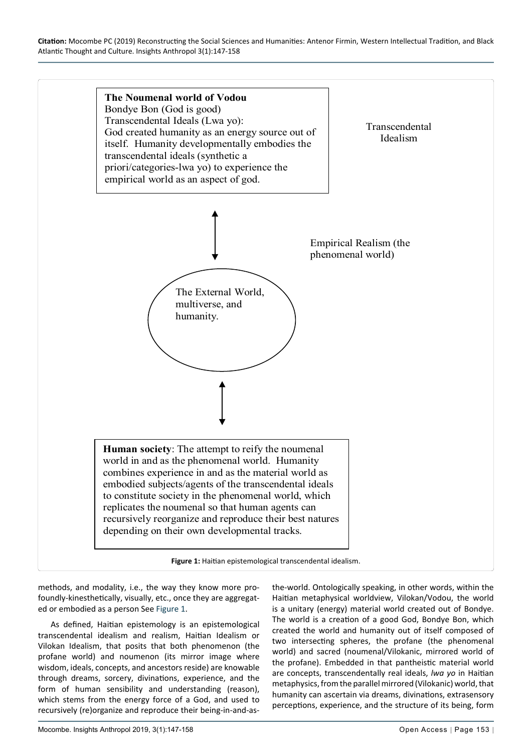<span id="page-6-0"></span>

methods, and modality, i.e., the way they know more profoundly-kinesthetically, visually, etc., once they are aggregated or embodied as a person See [Figure 1](#page-6-0).

As defined, Haitian epistemology is an epistemological transcendental idealism and realism, Haitian Idealism or Vilokan Idealism, that posits that both phenomenon (the profane world) and noumenon (its mirror image where wisdom, ideals, concepts, and ancestors reside) are knowable through dreams, sorcery, divinations, experience, and the form of human sensibility and understanding (reason), which stems from the energy force of a God, and used to recursively (re)organize and reproduce their being-in-and-asthe-world. Ontologically speaking, in other words, within the Haitian metaphysical worldview, Vilokan/Vodou, the world is a unitary (energy) material world created out of Bondye. The world is a creation of a good God, Bondye Bon, which created the world and humanity out of itself composed of two intersecting spheres, the profane (the phenomenal world) and sacred (noumenal/Vilokanic, mirrored world of the profane). Embedded in that pantheistic material world are concepts, transcendentally real ideals, *lwa yo* in Haitian metaphysics, from the parallel mirrored (Vilokanic) world, that humanity can ascertain via dreams, divinations, extrasensory perceptions, experience, and the structure of its being, form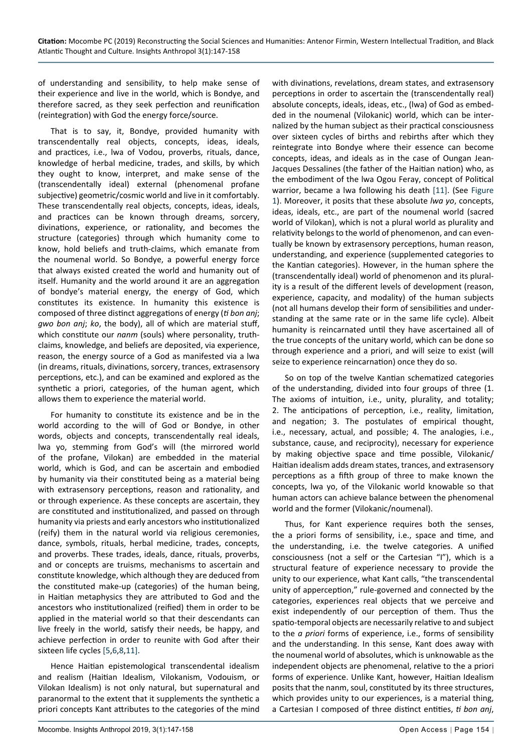of understanding and sensibility, to help make sense of their experience and live in the world, which is Bondye, and therefore sacred, as they seek perfection and reunification (reintegration) with God the energy force/source.

That is to say, it, Bondye, provided humanity with transcendentally real objects, concepts, ideas, ideals, and practices, i.e., lwa of Vodou, proverbs, rituals, dance, knowledge of herbal medicine, trades, and skills, by which they ought to know, interpret, and make sense of the (transcendentally ideal) external (phenomenal profane subjective) geometric/cosmic world and live in it comfortably. These transcendentally real objects, concepts, ideas, ideals, and practices can be known through dreams, sorcery, divinations, experience, or rationality, and becomes the structure (categories) through which humanity come to know, hold beliefs and truth-claims, which emanate from the noumenal world. So Bondye, a powerful energy force that always existed created the world and humanity out of itself. Humanity and the world around it are an aggregation of bondye's material energy, the energy of God, which constitutes its existence. In humanity this existence is composed of three distinct aggregations of energy (*ti bon anj*; *gwo bon anj*; *ko*, the body), all of which are material stuff, which constitute our *nanm* (souls) where personality, truthclaims, knowledge, and beliefs are deposited, via experience, reason, the energy source of a God as manifested via a lwa (in dreams, rituals, divinations, sorcery, trances, extrasensory perceptions, etc.), and can be examined and explored as the synthetic a priori, categories, of the human agent, which allows them to experience the material world.

For humanity to constitute its existence and be in the world according to the will of God or Bondye, in other words, objects and concepts, transcendentally real ideals, lwa yo, stemming from God's will (the mirrored world of the profane, Vilokan) are embedded in the material world, which is God, and can be ascertain and embodied by humanity via their constituted being as a material being with extrasensory perceptions, reason and rationality, and or through experience. As these concepts are ascertain, they are constituted and institutionalized, and passed on through humanity via priests and early ancestors who institutionalized (reify) them in the natural world via religious ceremonies, dance, symbols, rituals, herbal medicine, trades, concepts, and proverbs. These trades, ideals, dance, rituals, proverbs, and or concepts are truisms, mechanisms to ascertain and constitute knowledge, which although they are deduced from the constituted make-up (categories) of the human being, in Haitian metaphysics they are attributed to God and the ancestors who institutionalized (reified) them in order to be applied in the material world so that their descendants can live freely in the world, satisfy their needs, be happy, and achieve perfection in order to reunite with God after their sixteen life cycles [\[5](#page-10-4),[6](#page-11-0)[,8](#page-11-8),[11](#page-11-3)].

Hence Haitian epistemological transcendental idealism and realism (Haitian Idealism, Vilokanism, Vodouism, or Vilokan Idealism) is not only natural, but supernatural and paranormal to the extent that it supplements the synthetic a priori concepts Kant attributes to the categories of the mind with divinations, revelations, dream states, and extrasensory perceptions in order to ascertain the (transcendentally real) absolute concepts, ideals, ideas, etc., (lwa) of God as embedded in the noumenal (Vilokanic) world, which can be internalized by the human subject as their practical consciousness over sixteen cycles of births and rebirths after which they reintegrate into Bondye where their essence can become concepts, ideas, and ideals as in the case of Oungan Jean-Jacques Dessalines (the father of the Haitian nation) who, as the embodiment of the lwa Ogou Feray, concept of Political warrior, became a lwa following his death [\[11\]](#page-11-3). (See [Figure](#page-6-0)  [1](#page-6-0)). Moreover, it posits that these absolute *lwa yo*, concepts, ideas, ideals, etc., are part of the noumenal world (sacred world of Vilokan), which is not a plural world as plurality and relativity belongs to the world of phenomenon, and can eventually be known by extrasensory perceptions, human reason, understanding, and experience (supplemented categories to the Kantian categories). However, in the human sphere the (transcendentally ideal) world of phenomenon and its plurality is a result of the different levels of development (reason, experience, capacity, and modality) of the human subjects (not all humans develop their form of sensibilities and understanding at the same rate or in the same life cycle). Albeit humanity is reincarnated until they have ascertained all of the true concepts of the unitary world, which can be done so through experience and a priori, and will seize to exist (will seize to experience reincarnation) once they do so.

So on top of the twelve Kantian schematized categories of the understanding, divided into four groups of three (1. The axioms of intuition, i.e., unity, plurality, and totality; 2. The anticipations of perception, i.e., reality, limitation, and negation; 3. The postulates of empirical thought, i.e., necessary, actual, and possible; 4. The analogies, i.e., substance, cause, and reciprocity), necessary for experience by making objective space and time possible, Vilokanic/ Haitian idealism adds dream states, trances, and extrasensory perceptions as a fifth group of three to make known the concepts, lwa yo, of the Vilokanic world knowable so that human actors can achieve balance between the phenomenal world and the former (Vilokanic/noumenal).

Thus, for Kant experience requires both the senses, the a priori forms of sensibility, i.e., space and time, and the understanding, i.e. the twelve categories. A unified consciousness (not a self or the Cartesian "I"), which is a structural feature of experience necessary to provide the unity to our experience, what Kant calls, "the transcendental unity of apperception," rule-governed and connected by the categories, experiences real objects that we perceive and exist independently of our perception of them. Thus the spatio-temporal objects are necessarily relative to and subject to the *a priori* forms of experience, i.e., forms of sensibility and the understanding. In this sense, Kant does away with the noumenal world of absolutes, which is unknowable as the independent objects are phenomenal, relative to the a priori forms of experience. Unlike Kant, however, Haitian Idealism posits that the nanm, soul, constituted by its three structures, which provides unity to our experiences, is a material thing, a Cartesian I composed of three distinct entities, *ti bon anj*,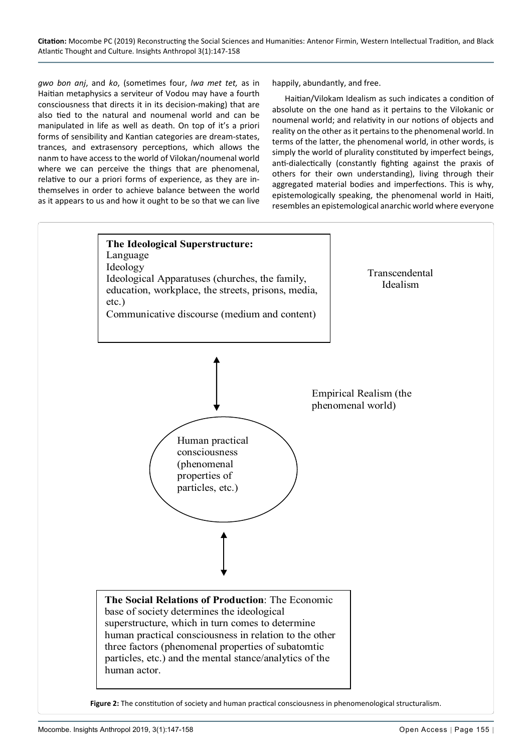*gwo bon anj*, and *ko*, (sometimes four, *lwa met tet,* as in Haitian metaphysics a serviteur of Vodou may have a fourth consciousness that directs it in its decision-making) that are also tied to the natural and noumenal world and can be manipulated in life as well as death. On top of it's a priori forms of sensibility and Kantian categories are dream-states, trances, and extrasensory perceptions, which allows the nanm to have access to the world of Vilokan/noumenal world where we can perceive the things that are phenomenal, relative to our a priori forms of experience, as they are inthemselves in order to achieve balance between the world as it appears to us and how it ought to be so that we can live

happily, abundantly, and free.

Haitian/Vilokam Idealism as such indicates a condition of absolute on the one hand as it pertains to the Vilokanic or noumenal world; and relativity in our notions of objects and reality on the other as it pertains to the phenomenal world. In terms of the latter, the phenomenal world, in other words, is simply the world of plurality constituted by imperfect beings, anti-dialectically (constantly fighting against the praxis of others for their own understanding), living through their aggregated material bodies and imperfections. This is why, epistemologically speaking, the phenomenal world in Haiti, resembles an epistemological anarchic world where everyone

<span id="page-8-0"></span>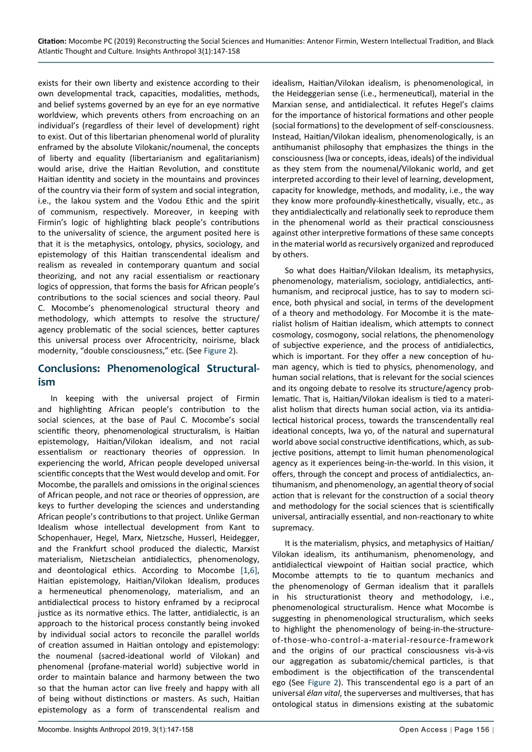exists for their own liberty and existence according to their own developmental track, capacities, modalities, methods, and belief systems governed by an eye for an eye normative worldview, which prevents others from encroaching on an individual's (regardless of their level of development) right to exist. Out of this libertarian phenomenal world of plurality enframed by the absolute Vilokanic/noumenal, the concepts of liberty and equality (libertarianism and egalitarianism) would arise, drive the Haitian Revolution, and constitute Haitian identity and society in the mountains and provinces of the country via their form of system and social integration, i.e., the lakou system and the Vodou Ethic and the spirit of communism, respectively. Moreover, in keeping with Firmin's logic of highlighting black people's contributions to the universality of science, the argument posited here is that it is the metaphysics, ontology, physics, sociology, and epistemology of this Haitian transcendental idealism and realism as revealed in contemporary quantum and social theorizing, and not any racial essentialism or reactionary logics of oppression, that forms the basis for African people's contributions to the social sciences and social theory. Paul C. Mocombe's phenomenological structural theory and methodology, which attempts to resolve the structure/ agency problematic of the social sciences, better captures this universal process over Afrocentricity, noirisme, black modernity, "double consciousness," etc. (See [Figure 2\)](#page-8-0).

## **Conclusions: Phenomenological Structuralism**

In keeping with the universal project of Firmin and highlighting African people's contribution to the social sciences, at the base of Paul C. Mocombe's social scientific theory, phenomenological structuralism, is Haitian epistemology, Haitian/Vilokan idealism, and not racial essentialism or reactionary theories of oppression. In experiencing the world, African people developed universal scientific concepts that the West would develop and omit. For Mocombe, the parallels and omissions in the original sciences of African people, and not race or theories of oppression, are keys to further developing the sciences and understanding African people's contributions to that project. Unlike German Idealism whose intellectual development from Kant to Schopenhauer, Hegel, Marx, Nietzsche, Husserl, Heidegger, and the Frankfurt school produced the dialectic, Marxist materialism, Nietzscheian antidialectics, phenomenology, and deontological ethics. According to Mocombe [\[1](#page-10-0),[6\]](#page-11-0), Haitian epistemology, Haitian/Vilokan Idealism, produces a hermeneutical phenomenology, materialism, and an antidialectical process to history enframed by a reciprocal justice as its normative ethics. The latter, antidialectic, is an approach to the historical process constantly being invoked by individual social actors to reconcile the parallel worlds of creation assumed in Haitian ontology and epistemology: the noumenal (sacred-ideational world of Vilokan) and phenomenal (profane-material world) subjective world in order to maintain balance and harmony between the two so that the human actor can live freely and happy with all of being without distinctions or masters. As such, Haitian epistemology as a form of transcendental realism and

idealism, Haitian/Vilokan idealism, is phenomenological, in the Heideggerian sense (i.e., hermeneutical), material in the Marxian sense, and antidialectical. It refutes Hegel's claims for the importance of historical formations and other people (social formations) to the development of self-consciousness. Instead, Haitian/Vilokan idealism, phenomenologically, is an antihumanist philosophy that emphasizes the things in the consciousness (lwa or concepts, ideas, ideals) of the individual as they stem from the noumenal/Vilokanic world, and get interpreted according to their level of learning, development, capacity for knowledge, methods, and modality, i.e., the way they know more profoundly-kinesthetically, visually, etc., as they antidialectically and relationally seek to reproduce them in the phenomenal world as their practical consciousness against other interpretive formations of these same concepts in the material world as recursively organized and reproduced by others.

So what does Haitian/Vilokan Idealism, its metaphysics, phenomenology, materialism, sociology, antidialectics, antihumanism, and reciprocal justice, has to say to modern science, both physical and social, in terms of the development of a theory and methodology. For Mocombe it is the materialist holism of Haitian idealism, which attempts to connect cosmology, cosmogony, social relations, the phenomenology of subjective experience, and the process of antidialectics, which is important. For they offer a new conception of human agency, which is tied to physics, phenomenology, and human social relations, that is relevant for the social sciences and its ongoing debate to resolve its structure/agency problematic. That is, Haitian/Vilokan idealism is tied to a materialist holism that directs human social action, via its antidialectical historical process, towards the transcendentally real ideational concepts, lwa yo, of the natural and supernatural world above social constructive identifications, which, as subjective positions, attempt to limit human phenomenological agency as it experiences being-in-the-world. In this vision, it offers, through the concept and process of antidialectics, antihumanism, and phenomenology, an agential theory of social action that is relevant for the construction of a social theory and methodology for the social sciences that is scientifically universal, antiracially essential, and non-reactionary to white supremacy.

It is the materialism, physics, and metaphysics of Haitian/ Vilokan idealism, its antihumanism, phenomenology, and antidialectical viewpoint of Haitian social practice, which Mocombe attempts to tie to quantum mechanics and the phenomenology of German idealism that it parallels in his structurationist theory and methodology, i.e., phenomenological structuralism. Hence what Mocombe is suggesting in phenomenological structuralism, which seeks to highlight the phenomenology of being-in-the-structureof-those-who-control-a-material-resource-framework and the origins of our practical consciousness vis-à-vis our aggregation as subatomic/chemical particles, is that embodiment is the objectification of the transcendental ego (See [Figure 2\)](#page-8-0). This transcendental ego is a part of an universal *élan vital*, the superverses and multiverses, that has ontological status in dimensions existing at the subatomic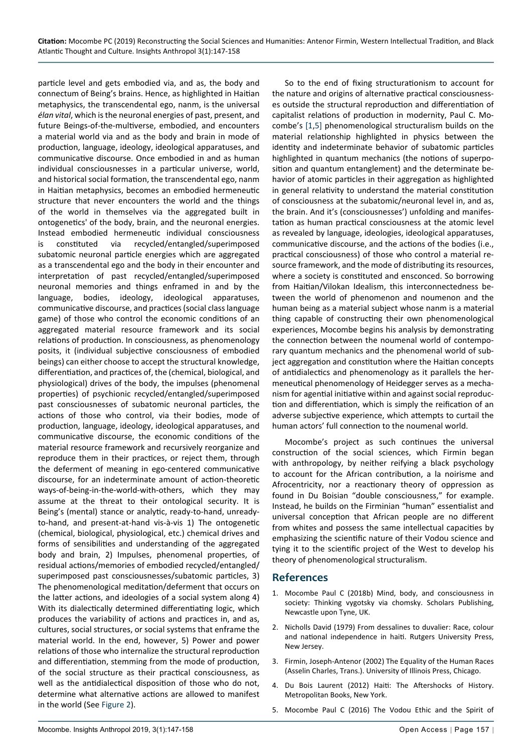particle level and gets embodied via, and as, the body and connectum of Being's brains. Hence, as highlighted in Haitian metaphysics, the transcendental ego, nanm, is the universal *élan vital*, which is the neuronal energies of past, present, and future Beings-of-the-multiverse, embodied, and encounters a material world via and as the body and brain in mode of production, language, ideology, ideological apparatuses, and communicative discourse. Once embodied in and as human individual consciousnesses in a particular universe, world, and historical social formation, the transcendental ego, nanm in Haitian metaphysics, becomes an embodied hermeneutic structure that never encounters the world and the things of the world in themselves via the aggregated built in ontogenetics' of the body, brain, and the neuronal energies. Instead embodied hermeneutic individual consciousness is constituted via recycled/entangled/superimposed subatomic neuronal particle energies which are aggregated as a transcendental ego and the body in their encounter and interpretation of past recycled/entangled/superimposed neuronal memories and things enframed in and by the language, bodies, ideology, ideological apparatuses, communicative discourse, and practices (social class language game) of those who control the economic conditions of an aggregated material resource framework and its social relations of production. In consciousness, as phenomenology posits, it (individual subjective consciousness of embodied beings) can either choose to accept the structural knowledge, differentiation, and practices of, the (chemical, biological, and physiological) drives of the body, the impulses (phenomenal properties) of psychionic recycled/entangled/superimposed past consciousnesses of subatomic neuronal particles, the actions of those who control, via their bodies, mode of production, language, ideology, ideological apparatuses, and communicative discourse, the economic conditions of the material resource framework and recursively reorganize and reproduce them in their practices, or reject them, through the deferment of meaning in ego-centered communicative discourse, for an indeterminate amount of action-theoretic ways-of-being-in-the-world-with-others, which they may assume at the threat to their ontological security. It is Being's (mental) stance or analytic, ready-to-hand, unreadyto-hand, and present-at-hand vis-à-vis 1) The ontogenetic (chemical, biological, physiological, etc.) chemical drives and forms of sensibilities and understanding of the aggregated body and brain, 2) Impulses, phenomenal properties, of residual actions/memories of embodied recycled/entangled/ superimposed past consciousnesses/subatomic particles, 3) The phenomenological meditation/deferment that occurs on the latter actions, and ideologies of a social system along 4) With its dialectically determined differentiating logic, which produces the variability of actions and practices in, and as, cultures, social structures, or social systems that enframe the material world. In the end, however, 5) Power and power relations of those who internalize the structural reproduction and differentiation, stemming from the mode of production, of the social structure as their practical consciousness, as well as the antidialectical disposition of those who do not, determine what alternative actions are allowed to manifest in the world (See [Figure 2](#page-8-0)).

So to the end of fixing structurationism to account for the nature and origins of alternative practical consciousnesses outside the structural reproduction and differentiation of capitalist relations of production in modernity, Paul C. Mocombe's [[1](#page-10-0)[,5\]](#page-10-4) phenomenological structuralism builds on the material relationship highlighted in physics between the identity and indeterminate behavior of subatomic particles highlighted in quantum mechanics (the notions of superposition and quantum entanglement) and the determinate behavior of atomic particles in their aggregation as highlighted in general relativity to understand the material constitution of consciousness at the subatomic/neuronal level in, and as, the brain. And it's (consciousnesses') unfolding and manifestation as human practical consciousness at the atomic level as revealed by language, ideologies, ideological apparatuses, communicative discourse, and the actions of the bodies (i.e., practical consciousness) of those who control a material resource framework, and the mode of distributing its resources, where a society is constituted and ensconced. So borrowing from Haitian/Vilokan Idealism, this interconnectedness between the world of phenomenon and noumenon and the human being as a material subject whose nanm is a material thing capable of constructing their own phenomenological experiences, Mocombe begins his analysis by demonstrating the connection between the noumenal world of contemporary quantum mechanics and the phenomenal world of subject aggregation and constitution where the Haitian concepts of antidialectics and phenomenology as it parallels the hermeneutical phenomenology of Heidegger serves as a mechanism for agential initiative within and against social reproduction and differentiation, which is simply the reification of an adverse subjective experience, which attempts to curtail the human actors' full connection to the noumenal world.

Mocombe's project as such continues the universal construction of the social sciences, which Firmin began with anthropology, by neither reifying a black psychology to account for the African contribution, a la noirisme and Afrocentricity, nor a reactionary theory of oppression as found in Du Boisian "double consciousness," for example. Instead, he builds on the Firminian "human" essentialist and universal conception that African people are no different from whites and possess the same intellectual capacities by emphasizing the scientific nature of their Vodou science and tying it to the scientific project of the West to develop his theory of phenomenological structuralism.

#### **References**

- <span id="page-10-0"></span>1. [Mocombe Paul C \(2018b\) Mind, body, and consciousness in](https://books.google.co.in/books?id=OlWCDwAAQBAJ&pg=PA3&lpg=PA3&dq=Mind,+Body,+and+Consciousness+in+Society:+Thinking+Vygotsky+via+Chomsky.&source=bl&ots=SwxFdSF_xg&sig=ACfU3U1DZMGr-tkEzwewUrEuHYO6A1q7lQ&hl=en&sa=X&ved=2ahUKEwjIs77zrszhAhWJLI8KHY1TBCkQ6AEw)  [society: Thinking vygotsky via chomsky. Scholars Publishing,](https://books.google.co.in/books?id=OlWCDwAAQBAJ&pg=PA3&lpg=PA3&dq=Mind,+Body,+and+Consciousness+in+Society:+Thinking+Vygotsky+via+Chomsky.&source=bl&ots=SwxFdSF_xg&sig=ACfU3U1DZMGr-tkEzwewUrEuHYO6A1q7lQ&hl=en&sa=X&ved=2ahUKEwjIs77zrszhAhWJLI8KHY1TBCkQ6AEw)  [Newcastle upon Tyne, UK.](https://books.google.co.in/books?id=OlWCDwAAQBAJ&pg=PA3&lpg=PA3&dq=Mind,+Body,+and+Consciousness+in+Society:+Thinking+Vygotsky+via+Chomsky.&source=bl&ots=SwxFdSF_xg&sig=ACfU3U1DZMGr-tkEzwewUrEuHYO6A1q7lQ&hl=en&sa=X&ved=2ahUKEwjIs77zrszhAhWJLI8KHY1TBCkQ6AEw)
- <span id="page-10-2"></span>2. [Nicholls David \(1979\) From dessalines to duvalier: Race, colour](https://books.google.co.in/books?id=hRQn8Pc3K08C&pg=PR4&lpg=PR4&dq=From+Dessalines+to+Duvalier:+Race,+Colour+and+National+Independence+in+Haiti.+Rutgers+University+Press,+New+Jersey.&source=bl&ots=7RMHwlh8U6&sig=ACfU3U03fe2r3Cm7yOSsgLiG7-CEYaczzw&hl=en&sa=)  [and national independence in haiti. Rutgers University Press,](https://books.google.co.in/books?id=hRQn8Pc3K08C&pg=PR4&lpg=PR4&dq=From+Dessalines+to+Duvalier:+Race,+Colour+and+National+Independence+in+Haiti.+Rutgers+University+Press,+New+Jersey.&source=bl&ots=7RMHwlh8U6&sig=ACfU3U03fe2r3Cm7yOSsgLiG7-CEYaczzw&hl=en&sa=)  [New Jersey.](https://books.google.co.in/books?id=hRQn8Pc3K08C&pg=PR4&lpg=PR4&dq=From+Dessalines+to+Duvalier:+Race,+Colour+and+National+Independence+in+Haiti.+Rutgers+University+Press,+New+Jersey.&source=bl&ots=7RMHwlh8U6&sig=ACfU3U03fe2r3Cm7yOSsgLiG7-CEYaczzw&hl=en&sa=)
- <span id="page-10-3"></span>3. Firmin, Joseph-Antenor (2002) The Equality of the Human Races (Asselin Charles, Trans.). University of Illinois Press, Chicago.
- <span id="page-10-1"></span>4. Du Bois Laurent (2012) Haiti: The Aftershocks of History. Metropolitan Books, New York.
- <span id="page-10-4"></span>5. Mocombe Paul C (2016) The Vodou Ethic and the Spirit of